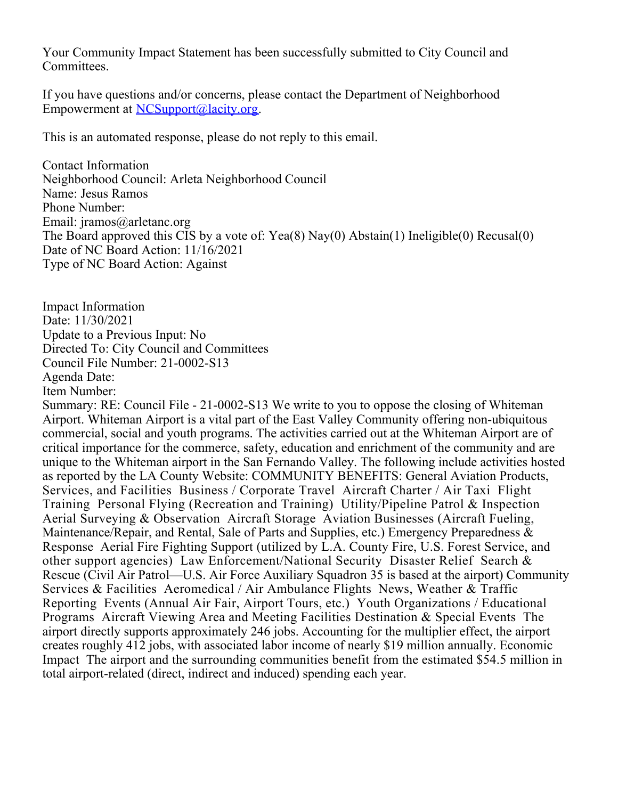Your Community Impact Statement has been successfully submitted to City Council and Committees.

If you have questions and/or concerns, please contact the Department of Neighborhood Empowerment at [NCSupport@lacity.org](mailto:NCSupport@lacity.org).

This is an automated response, please do not reply to this email.

Contact Information Neighborhood Council: Arleta Neighborhood Council Name: Jesus Ramos Phone Number: Email: jramos@arletanc.org The Board approved this CIS by a vote of: Yea(8) Nay(0) Abstain(1) Ineligible(0) Recusal(0) Date of NC Board Action: 11/16/2021 Type of NC Board Action: Against

Impact Information Date: 11/30/2021 Update to a Previous Input: No Directed To: City Council and Committees Council File Number: 21-0002-S13 Agenda Date: Item Number:

Summary: RE: Council File - 21-0002-S13 We write to you to oppose the closing of Whiteman Airport. Whiteman Airport is a vital part of the East Valley Community offering non-ubiquitous commercial, social and youth programs. The activities carried out at the Whiteman Airport are of critical importance for the commerce, safety, education and enrichment of the community and are unique to the Whiteman airport in the San Fernando Valley. The following include activities hosted as reported by the LA County Website: COMMUNITY BENEFITS: General Aviation Products, Services, and Facilities Business / Corporate Travel Aircraft Charter / Air Taxi Flight Training Personal Flying (Recreation and Training) Utility/Pipeline Patrol & Inspection Aerial Surveying & Observation Aircraft Storage Aviation Businesses (Aircraft Fueling, Maintenance/Repair, and Rental, Sale of Parts and Supplies, etc.) Emergency Preparedness & Response Aerial Fire Fighting Support (utilized by L.A. County Fire, U.S. Forest Service, and other support agencies) Law Enforcement/National Security Disaster Relief Search & Rescue (Civil Air Patrol—U.S. Air Force Auxiliary Squadron 35 is based at the airport) Community Services & Facilities Aeromedical / Air Ambulance Flights News, Weather & Traffic Reporting Events (Annual Air Fair, Airport Tours, etc.) Youth Organizations / Educational Programs Aircraft Viewing Area and Meeting Facilities Destination & Special Events The airport directly supports approximately 246 jobs. Accounting for the multiplier effect, the airport creates roughly 412 jobs, with associated labor income of nearly \$19 million annually. Economic Impact The airport and the surrounding communities benefit from the estimated \$54.5 million in total airport-related (direct, indirect and induced) spending each year.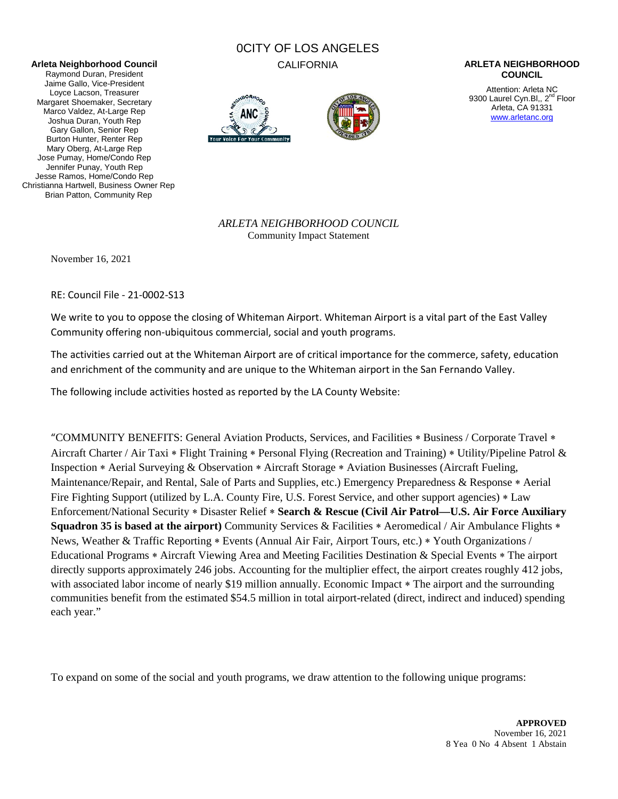#### **Arleta Neighborhood Council**

Raymond Duran, President Jaime Gallo, Vice-President Loyce Lacson, Treasurer Margaret Shoemaker, Secretary Marco Valdez, At-Large Rep Joshua Duran, Youth Rep Gary Gallon, Senior Rep Burton Hunter, Renter Rep Mary Oberg, At-Large Rep Jose Pumay, Home/Condo Rep Jennifer Punay, Youth Rep Jesse Ramos, Home/Condo Rep Christianna Hartwell, Business Owner Rep Brian Patton, Community Rep

# 0CITY OF LOS ANGELES





#### CALIFORNIA **ARLETA NEIGHBORHOOD COUNCIL**

Attention: Arleta NC 9300 Laurel Cyn.Bl., 2<sup>nd</sup> Floor Arleta, CA 91331 [www.arletanc.org](http://www.arletanc.org/)

*ARLETA NEIGHBORHOOD COUNCIL* Community Impact Statement

November 16, 2021

RE: Council File - 21-0002-S13

We write to you to oppose the closing of Whiteman Airport. Whiteman Airport is a vital part of the East Valley Community offering non-ubiquitous commercial, social and youth programs.

The activities carried out at the Whiteman Airport are of critical importance for the commerce, safety, education and enrichment of the community and are unique to the Whiteman airport in the San Fernando Valley.

The following include activities hosted as reported by the LA County Website:

"COMMUNITY BENEFITS: General Aviation Products, Services, and Facilities ∗ Business / Corporate Travel ∗ Aircraft Charter / Air Taxi ∗ Flight Training ∗ Personal Flying (Recreation and Training) ∗ Utility/Pipeline Patrol & Inspection ∗ Aerial Surveying & Observation ∗ Aircraft Storage ∗ Aviation Businesses (Aircraft Fueling, Maintenance/Repair, and Rental, Sale of Parts and Supplies, etc.) Emergency Preparedness & Response ∗ Aerial Fire Fighting Support (utilized by L.A. County Fire, U.S. Forest Service, and other support agencies) ∗ Law Enforcement/National Security ∗ Disaster Relief ∗ **Search & Rescue (Civil Air Patrol—U.S. Air Force Auxiliary Squadron 35 is based at the airport)** Community Services & Facilities \* Aeromedical / Air Ambulance Flights \* News, Weather & Traffic Reporting ∗ Events (Annual Air Fair, Airport Tours, etc.) ∗ Youth Organizations / Educational Programs ∗ Aircraft Viewing Area and Meeting Facilities Destination & Special Events ∗ The airport directly supports approximately 246 jobs. Accounting for the multiplier effect, the airport creates roughly 412 jobs, with associated labor income of nearly \$19 million annually. Economic Impact \* The airport and the surrounding communities benefit from the estimated \$54.5 million in total airport-related (direct, indirect and induced) spending each year."

To expand on some of the social and youth programs, we draw attention to the following unique programs: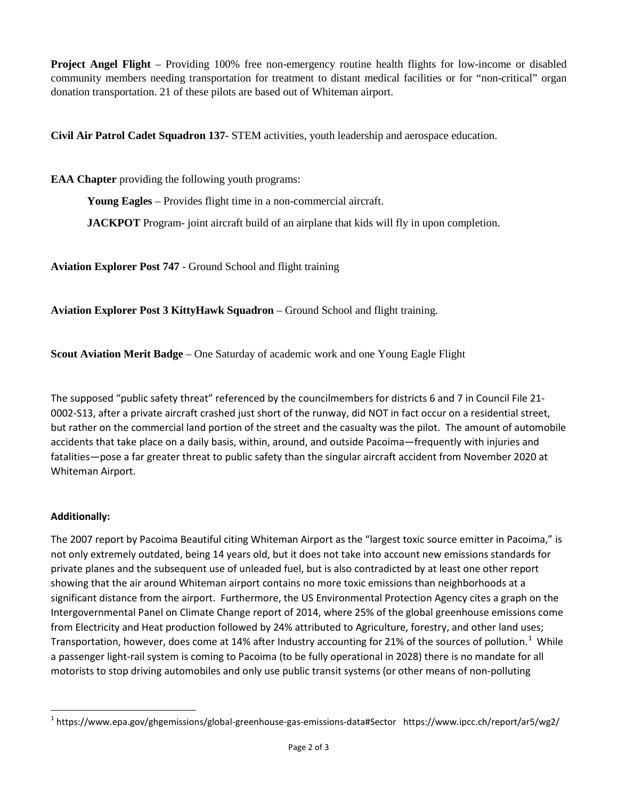**Project Angel Flight** – Providing 100% free non-emergency routine health flights for low-income or disabled community members needing transportation for treatment to distant medical facilities or for "non-critical" organ donation transportation. 21 of these pilots are based out of Whiteman airport.

**Civil Air Patrol Cadet Squadron 137**- STEM activities, youth leadership and aerospace education.

**EAA Chapter** providing the following youth programs:

**Young Eagles** – Provides flight time in a non-commercial aircraft.

**JACKPOT** Program- joint aircraft build of an airplane that kids will fly in upon completion.

**Aviation Explorer Post 747** - Ground School and flight training

**Aviation Explorer Post 3 KittyHawk Squadron** – Ground School and flight training.

**Scout Aviation Merit Badge** – One Saturday of academic work and one Young Eagle Flight

The supposed "public safety threat" referenced by the councilmembers for districts 6 and 7 in Council File 21- 0002-S13, after a private aircraft crashed just short of the runway, did NOT in fact occur on a residential street, but rather on the commercial land portion of the street and the casualty was the pilot. The amount of automobile accidents that take place on a daily basis, within, around, and outside Pacoima―frequently with injuries and fatalities―pose a far greater threat to public safety than the singular aircraft accident from November 2020 at Whiteman Airport.

### **Additionally:**

The 2007 report by Pacoima Beautiful citing Whiteman Airport as the "largest toxic source emitter in Pacoima," is not only extremely outdated, being 14 years old, but it does not take into account new emissions standards for private planes and the subsequent use of unleaded fuel, but is also contradicted by at least one other report showing that the air around Whiteman airport contains no more toxic emissions than neighborhoods at a significant distance from the airport. Furthermore, the US Environmental Protection Agency cites a graph on the Intergovernmental Panel on Climate Change report of 2014, where 25% of the global greenhouse emissions come from Electricity and Heat production followed by 24% attributed to Agriculture, forestry, and other land uses; Transportation, however, does come at [1](#page-2-0)4% after Industry accounting for 21% of the sources of pollution.<sup>1</sup> While a passenger light-rail system is coming to Pacoima (to be fully operational in 2028) there is no mandate for all motorists to stop driving automobiles and only use public transit systems (or other means of non-polluting

<span id="page-2-0"></span> <sup>1</sup> https://www.epa.gov/ghgemissions/global-greenhouse-gas-emissions-data#Sector https://www.ipcc.ch/report/ar5/wg2/